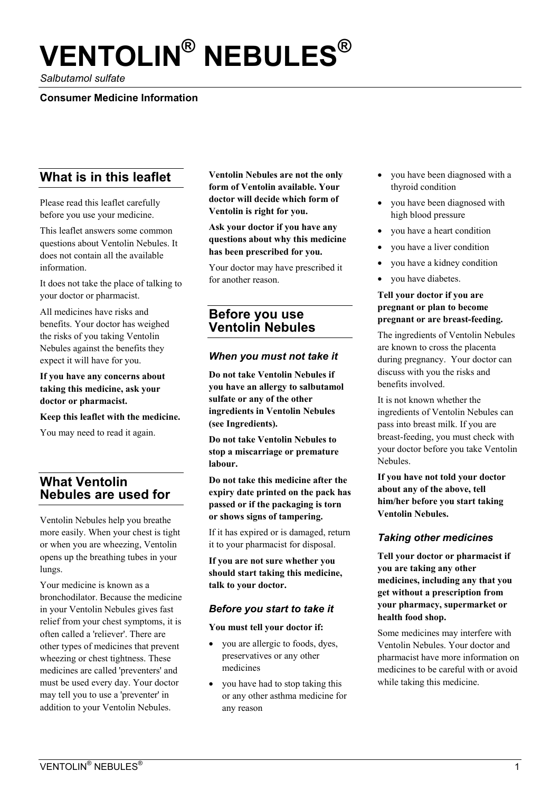# **VENTOLIN® NEBULES®**

*Salbutamol sulfate* 

## **Consumer Medicine Information**

# **What is in this leaflet**

Please read this leaflet carefully before you use your medicine.

This leaflet answers some common questions about Ventolin Nebules. It does not contain all the available information.

It does not take the place of talking to your doctor or pharmacist.

All medicines have risks and benefits. Your doctor has weighed the risks of you taking Ventolin Nebules against the benefits they expect it will have for you.

**If you have any concerns about taking this medicine, ask your doctor or pharmacist.** 

**Keep this leaflet with the medicine.** 

You may need to read it again.

# **What Ventolin Nebules are used for**

Ventolin Nebules help you breathe more easily. When your chest is tight or when you are wheezing, Ventolin opens up the breathing tubes in your lungs.

Your medicine is known as a bronchodilator. Because the medicine in your Ventolin Nebules gives fast relief from your chest symptoms, it is often called a 'reliever'. There are other types of medicines that prevent wheezing or chest tightness. These medicines are called 'preventers' and must be used every day. Your doctor may tell you to use a 'preventer' in addition to your Ventolin Nebules.

**Ventolin Nebules are not the only form of Ventolin available. Your doctor will decide which form of Ventolin is right for you.** 

**Ask your doctor if you have any questions about why this medicine has been prescribed for you.** 

Your doctor may have prescribed it for another reason.

# **Before you use Ventolin Nebules**

#### *When you must not take it*

**Do not take Ventolin Nebules if you have an allergy to salbutamol sulfate or any of the other ingredients in Ventolin Nebules (see Ingredients).** 

**Do not take Ventolin Nebules to stop a miscarriage or premature labour.** 

**Do not take this medicine after the expiry date printed on the pack has passed or if the packaging is torn or shows signs of tampering.** 

If it has expired or is damaged, return it to your pharmacist for disposal.

**If you are not sure whether you should start taking this medicine, talk to your doctor.** 

#### *Before you start to take it*

#### **You must tell your doctor if:**

- you are allergic to foods, dyes, preservatives or any other medicines
- you have had to stop taking this or any other asthma medicine for any reason
- you have been diagnosed with a thyroid condition
- vou have been diagnosed with high blood pressure
- you have a heart condition
- you have a liver condition
- you have a kidney condition
- you have diabetes.

#### **Tell your doctor if you are pregnant or plan to become pregnant or are breast-feeding.**

The ingredients of Ventolin Nebules are known to cross the placenta during pregnancy. Your doctor can discuss with you the risks and benefits involved.

It is not known whether the ingredients of Ventolin Nebules can pass into breast milk. If you are breast-feeding, you must check with your doctor before you take Ventolin Nebules.

**If you have not told your doctor about any of the above, tell him/her before you start taking Ventolin Nebules.** 

## *Taking other medicines*

**Tell your doctor or pharmacist if you are taking any other medicines, including any that you get without a prescription from your pharmacy, supermarket or health food shop.** 

Some medicines may interfere with Ventolin Nebules. Your doctor and pharmacist have more information on medicines to be careful with or avoid while taking this medicine.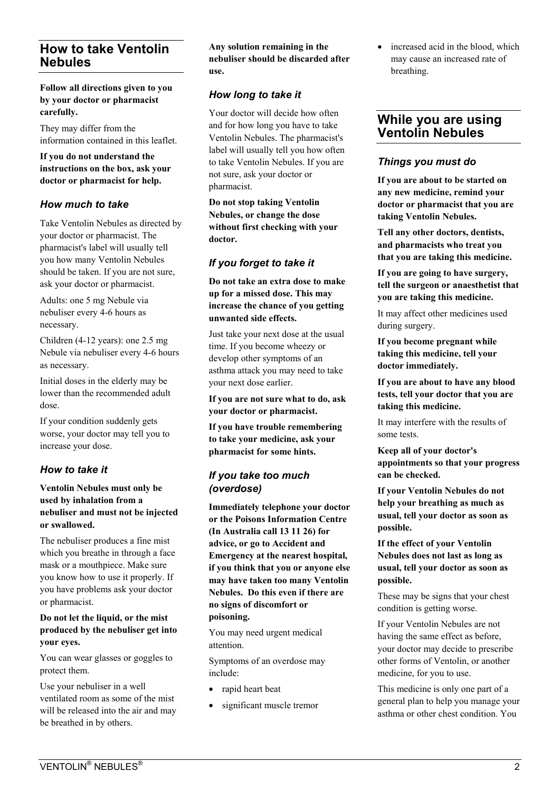# **How to take Ventolin Nebules**

**Follow all directions given to you by your doctor or pharmacist carefully.** 

They may differ from the information contained in this leaflet.

**If you do not understand the instructions on the box, ask your doctor or pharmacist for help.** 

## *How much to take*

Take Ventolin Nebules as directed by your doctor or pharmacist. The pharmacist's label will usually tell you how many Ventolin Nebules should be taken. If you are not sure, ask your doctor or pharmacist.

Adults: one 5 mg Nebule via nebuliser every 4-6 hours as necessary.

Children (4-12 years): one 2.5 mg Nebule via nebuliser every 4-6 hours as necessary.

Initial doses in the elderly may be lower than the recommended adult dose.

If your condition suddenly gets worse, your doctor may tell you to increase your dose.

## *How to take it*

#### **Ventolin Nebules must only be used by inhalation from a nebuliser and must not be injected or swallowed.**

The nebuliser produces a fine mist which you breathe in through a face mask or a mouthpiece. Make sure you know how to use it properly. If you have problems ask your doctor or pharmacist.

#### **Do not let the liquid, or the mist produced by the nebuliser get into your eyes.**

You can wear glasses or goggles to protect them.

Use your nebuliser in a well ventilated room as some of the mist will be released into the air and may be breathed in by others.

#### **Any solution remaining in the nebuliser should be discarded after use.**

# *How long to take it*

Your doctor will decide how often and for how long you have to take Ventolin Nebules. The pharmacist's label will usually tell you how often to take Ventolin Nebules. If you are not sure, ask your doctor or pharmacist.

**Do not stop taking Ventolin Nebules, or change the dose without first checking with your doctor.** 

## *If you forget to take it*

**Do not take an extra dose to make up for a missed dose. This may increase the chance of you getting unwanted side effects.** 

Just take your next dose at the usual time. If you become wheezy or develop other symptoms of an asthma attack you may need to take your next dose earlier.

**If you are not sure what to do, ask your doctor or pharmacist.** 

**If you have trouble remembering to take your medicine, ask your pharmacist for some hints.** 

## *If you take too much (overdose)*

**Immediately telephone your doctor or the Poisons Information Centre (In Australia call 13 11 26) for advice, or go to Accident and Emergency at the nearest hospital, if you think that you or anyone else may have taken too many Ventolin Nebules. Do this even if there are no signs of discomfort or poisoning.** 

You may need urgent medical attention.

Symptoms of an overdose may include:

- rapid heart beat
- significant muscle tremor

increased acid in the blood, which may cause an increased rate of breathing.

# **While you are using Ventolin Nebules**

## *Things you must do*

**If you are about to be started on any new medicine, remind your doctor or pharmacist that you are taking Ventolin Nebules.** 

**Tell any other doctors, dentists, and pharmacists who treat you that you are taking this medicine.** 

**If you are going to have surgery, tell the surgeon or anaesthetist that you are taking this medicine.** 

It may affect other medicines used during surgery.

**If you become pregnant while taking this medicine, tell your doctor immediately.** 

**If you are about to have any blood tests, tell your doctor that you are taking this medicine.** 

It may interfere with the results of some tests.

**Keep all of your doctor's appointments so that your progress can be checked.** 

**If your Ventolin Nebules do not help your breathing as much as usual, tell your doctor as soon as possible.** 

**If the effect of your Ventolin Nebules does not last as long as usual, tell your doctor as soon as possible.** 

These may be signs that your chest condition is getting worse.

If your Ventolin Nebules are not having the same effect as before, your doctor may decide to prescribe other forms of Ventolin, or another medicine, for you to use.

This medicine is only one part of a general plan to help you manage your asthma or other chest condition. You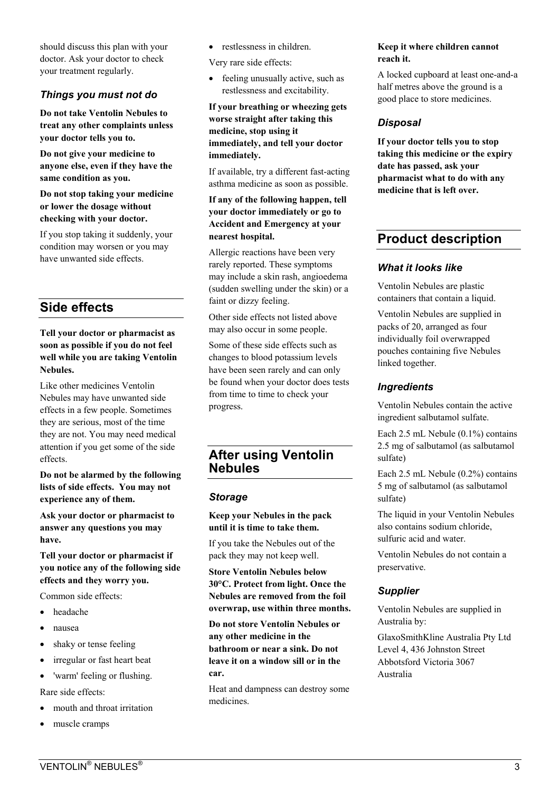should discuss this plan with your doctor. Ask your doctor to check your treatment regularly.

# *Things you must not do*

**Do not take Ventolin Nebules to treat any other complaints unless your doctor tells you to.** 

**Do not give your medicine to anyone else, even if they have the same condition as you.** 

**Do not stop taking your medicine or lower the dosage without checking with your doctor.** 

If you stop taking it suddenly, your condition may worsen or you may have unwanted side effects.

# **Side effects**

#### **Tell your doctor or pharmacist as soon as possible if you do not feel well while you are taking Ventolin Nebules.**

Like other medicines Ventolin Nebules may have unwanted side effects in a few people. Sometimes they are serious, most of the time they are not. You may need medical attention if you get some of the side effects.

**Do not be alarmed by the following lists of side effects. You may not experience any of them.** 

**Ask your doctor or pharmacist to answer any questions you may have.** 

**Tell your doctor or pharmacist if you notice any of the following side effects and they worry you.** 

Common side effects:

- headache
- nausea
- shaky or tense feeling
- irregular or fast heart beat
- 'warm' feeling or flushing. Rare side effects:
- mouth and throat irritation
- muscle cramps

• restlessness in children.

Very rare side effects:

• feeling unusually active, such as restlessness and excitability.

**If your breathing or wheezing gets worse straight after taking this medicine, stop using it immediately, and tell your doctor immediately.** 

If available, try a different fast-acting asthma medicine as soon as possible.

#### **If any of the following happen, tell your doctor immediately or go to Accident and Emergency at your nearest hospital.**

Allergic reactions have been very rarely reported. These symptoms may include a skin rash, angioedema (sudden swelling under the skin) or a faint or dizzy feeling.

Other side effects not listed above may also occur in some people.

Some of these side effects such as changes to blood potassium levels have been seen rarely and can only be found when your doctor does tests from time to time to check your progress.

# **After using Ventolin Nebules**

#### *Storage*

**Keep your Nebules in the pack until it is time to take them.** 

If you take the Nebules out of the pack they may not keep well.

**Store Ventolin Nebules below 30°C. Protect from light. Once the Nebules are removed from the foil overwrap, use within three months.** 

**Do not store Ventolin Nebules or any other medicine in the bathroom or near a sink. Do not leave it on a window sill or in the car.** 

Heat and dampness can destroy some medicines.

#### **Keep it where children cannot reach it.**

A locked cupboard at least one-and-a half metres above the ground is a good place to store medicines.

# *Disposal*

**If your doctor tells you to stop taking this medicine or the expiry date has passed, ask your pharmacist what to do with any medicine that is left over.** 

# **Product description**

#### *What it looks like*

Ventolin Nebules are plastic containers that contain a liquid.

Ventolin Nebules are supplied in packs of 20, arranged as four individually foil overwrapped pouches containing five Nebules linked together.

## *Ingredients*

Ventolin Nebules contain the active ingredient salbutamol sulfate.

Each 2.5 mL Nebule (0.1%) contains 2.5 mg of salbutamol (as salbutamol sulfate)

Each 2.5 mL Nebule (0.2%) contains 5 mg of salbutamol (as salbutamol sulfate)

The liquid in your Ventolin Nebules also contains sodium chloride, sulfuric acid and water.

Ventolin Nebules do not contain a preservative.

## *Supplier*

Ventolin Nebules are supplied in Australia by:

GlaxoSmithKline Australia Pty Ltd Level 4, 436 Johnston Street Abbotsford Victoria 3067 Australia